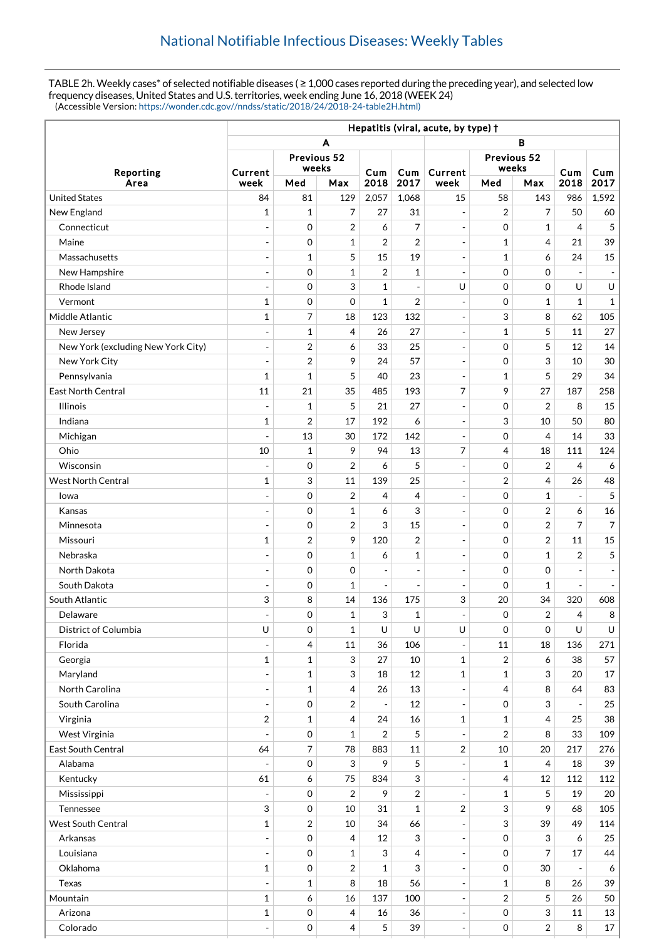TABLE 2h. Weekly cases\* of selected notifiable diseases ( ≥ 1,000 cases reported during the preceding year), and selected low frequency diseases, United States and U.S. territories, week ending June 16, 2018 (WEEK 24) (Accessible Version: [https://wonder.cdc.gov//nndss/static/2018/24/2018-24-table2H.html\)](https://wonder.cdc.gov//nndss/static/2018/24/2018-24-table2H.html)

|                                    | Hepatitis (viral, acute, by type) + |                     |                |                          |                          |                              |                      |                  |                          |                |  |
|------------------------------------|-------------------------------------|---------------------|----------------|--------------------------|--------------------------|------------------------------|----------------------|------------------|--------------------------|----------------|--|
|                                    | A<br>в                              |                     |                |                          |                          |                              |                      |                  |                          |                |  |
| Reporting                          | Previous 52                         |                     |                |                          |                          |                              |                      |                  |                          |                |  |
|                                    | Current                             | weeks               |                | Cum                      | Cum                      | Current                      | Previous 52<br>weeks |                  | Cum                      | Cum            |  |
| Area                               | week                                | Med                 | Max            | 2018                     | 2017                     | week                         | Med                  | Max              | 2018                     | 2017           |  |
| <b>United States</b>               | 84                                  | 81                  | 129            | 2,057                    | 1,068                    | 15                           | 58                   | 143              | 986                      | 1,592          |  |
| New England                        | 1                                   | $\mathbf{1}$        | 7              | 27                       | 31                       | $\blacksquare$               | $\overline{2}$       | 7                | 50                       | 60             |  |
| Connecticut                        | ÷,                                  | $\mathbf 0$         | $\overline{2}$ | 6                        | $\overline{7}$           | $\blacksquare$               | $\mathbf 0$          | $\mathbf{1}$     | $\overline{4}$           | 5              |  |
| Maine                              | $\overline{\phantom{a}}$            | 0                   | 1              | $\overline{2}$           | $\overline{2}$           | $\overline{\phantom{a}}$     | $\mathbf{1}$         | 4                | 21                       | 39             |  |
| Massachusetts                      | ÷,                                  | 1                   | 5              | 15                       | 19                       | $\overline{\phantom{a}}$     | $\mathbf{1}$         | 6                | 24                       | 15             |  |
| New Hampshire                      | $\overline{a}$                      | $\mathbf 0$         | 1              | $\overline{2}$           | $\mathbf{1}$             | $\overline{\phantom{a}}$     | $\mathbf 0$          | 0                |                          |                |  |
| Rhode Island                       | $\overline{a}$                      | $\mathbf 0$         | 3              | $\mathbf{1}$             | $\overline{\phantom{a}}$ | U                            | $\mathbf 0$          | 0                | U                        | U              |  |
| Vermont                            | 1                                   | 0                   | $\mathbf 0$    | $\mathbf{1}$             | $\overline{2}$           | $\overline{\phantom{a}}$     | $\mathbf 0$          | $\mathbf{1}$     | $\mathbf{1}$             | $\mathbf{1}$   |  |
| Middle Atlantic                    | $\mathbf{1}$                        | 7                   | 18             | 123                      | 132                      | $\overline{\phantom{a}}$     | 3                    | 8                | 62                       | 105            |  |
| New Jersey                         | ÷,                                  | $\mathbf 1$         | 4              | 26                       | 27                       | $\overline{\phantom{a}}$     | $\mathbf{1}$         | 5                | 11                       | 27             |  |
| New York (excluding New York City) | $\qquad \qquad \blacksquare$        | 2                   | 6              | 33                       | 25                       | $\overline{\phantom{a}}$     | $\mathbf 0$          | 5                | 12                       | 14             |  |
| New York City                      | $\overline{\phantom{a}}$            | $\overline{2}$      | 9              | 24                       | 57                       | $\overline{\phantom{a}}$     | $\mathbf 0$          | 3                | 10                       | 30             |  |
| Pennsylvania                       | 1                                   | $\mathbf{1}$        | 5              | 40                       | 23                       | $\frac{1}{2}$                | $\mathbf{1}$         | 5                | 29                       | 34             |  |
| <b>East North Central</b>          | 11                                  | 21                  | 35             | 485                      | 193                      | 7                            | 9                    | 27               | 187                      | 258            |  |
| <b>Illinois</b>                    | $\overline{\phantom{a}}$            | $\mathbf{1}$        | 5              | 21                       | 27                       | $\overline{\phantom{a}}$     | 0                    | $\overline{2}$   | 8                        | 15             |  |
| Indiana                            | 1                                   | $\overline{2}$      | 17             | 192                      | 6                        | $\blacksquare$               | 3                    | 10               | 50                       | 80             |  |
| Michigan                           |                                     | 13                  | 30             | 172                      | 142                      | $\overline{\phantom{a}}$     | $\mathbf 0$          | 4                | 14                       | 33             |  |
| Ohio                               | 10                                  | 1                   | 9              | 94                       | 13                       | 7                            | 4                    | 18               | 111                      | 124            |  |
| Wisconsin                          | ÷                                   | 0                   | 2              | 6                        | 5                        | $\overline{\phantom{a}}$     | $\mathbf 0$          | $\boldsymbol{2}$ | $\overline{4}$           | 6              |  |
| <b>West North Central</b>          | $\mathbf{1}$                        | 3                   | 11             | 139                      | 25                       | $\overline{\phantom{a}}$     | $\overline{2}$       | 4                | 26                       | 48             |  |
| lowa                               |                                     | $\mathbf 0$         | $\overline{2}$ | 4                        | 4                        | $\overline{\phantom{a}}$     | $\mathbf 0$          | $\mathbf{1}$     |                          | 5              |  |
| Kansas                             | ÷,                                  | $\mathbf 0$         | $\mathbf{1}$   | 6                        | 3                        | $\frac{1}{2}$                | $\mathbf 0$          | $\overline{2}$   | 6                        | 16             |  |
| Minnesota                          | ÷,                                  | $\mathbf 0$         | 2              | 3                        | 15                       | $\overline{\phantom{a}}$     | $\mathbf 0$          | $\overline{2}$   | $\overline{7}$           | $\overline{7}$ |  |
| Missouri                           | 1                                   | $\overline{2}$      | 9              | 120                      | $\overline{2}$           | $\overline{\phantom{a}}$     | $\Omega$             | $\overline{2}$   | 11                       | 15             |  |
| Nebraska                           | $\overline{a}$                      | $\mathbf 0$         | 1              | 6                        | 1                        | $\blacksquare$               | $\mathbf 0$          | $\mathbf{1}$     | $\overline{2}$           | 5              |  |
| North Dakota                       | $\overline{\phantom{a}}$            | $\mathbf 0$         | 0              | $\overline{\phantom{a}}$ | $\overline{\phantom{a}}$ | $\qquad \qquad \blacksquare$ | $\mathbf 0$          | 0                |                          |                |  |
| South Dakota                       | ٠                                   | 0                   | 1              | ÷,                       | $\overline{a}$           | $\overline{a}$               | $\mathbf 0$          | $\mathbf{1}$     | $\overline{a}$           |                |  |
| South Atlantic                     | 3                                   | 8                   | 14             | 136                      | 175                      | 3                            | 20                   | 34               | 320                      | 608            |  |
| Delaware                           |                                     | $\mathbf 0$         | $\mathbf{1}$   | 3                        | $\mathbf{1}$             | $\overline{\phantom{0}}$     | $\mathbf 0$          | $\overline{2}$   | $\overline{4}$           | 8              |  |
| District of Columbia               | $\cup$                              | 0                   | 1              | U                        | U                        | U                            | $\mathbf 0$          | $\mathbf 0$      | U                        | U              |  |
| Florida                            |                                     | $\overline{4}$      | 11             | 36                       | 106                      |                              | 11                   | 18               | 136                      | 271            |  |
| Georgia                            | $\mathbf{1}$                        | $\mathbf 1$         | 3              | 27                       | 10                       | $\mathbf 1$                  | $\overline{2}$       | 6                | 38                       | 57             |  |
| Maryland                           | ÷,                                  | $\mathbf{1}$        | 3              | 18                       | 12                       | $\mathbf{1}$                 | $\mathbf{1}$         | 3                | 20                       | 17             |  |
| North Carolina                     | $\overline{\phantom{a}}$            | $\mathbf{1}$        | 4              | 26                       | 13                       | $\blacksquare$               | 4                    | 8                | 64                       | 83             |  |
| South Carolina                     | $\overline{\phantom{a}}$            | $\mathbf 0$         | 2              | $\overline{\phantom{a}}$ | 12                       | $\overline{a}$               | $\mathbf 0$          | 3                |                          | 25             |  |
| Virginia                           | 2                                   | $\mathbf{1}$        | 4              | 24                       | 16                       | $\mathbf 1$                  | $\mathbf{1}$         | $\overline{4}$   | 25                       | 38             |  |
| West Virginia                      |                                     | 0                   | 1              | $\overline{2}$           | 5                        | $\blacksquare$               | $\overline{2}$       | 8                | 33                       | 109            |  |
| East South Central                 | 64                                  | $\overline{7}$      | 78             | 883                      | 11                       | 2                            | 10                   | 20               | 217                      | 276            |  |
| Alabama                            |                                     | $\mathbf 0$         | 3              | 9                        | 5                        | $\overline{\phantom{a}}$     | $\mathbf{1}$         | 4                | 18                       | 39             |  |
| Kentucky                           | 61                                  | 6                   | 75             | 834                      | 3                        | $\overline{\phantom{a}}$     | 4                    | 12               | 112                      | 112            |  |
| Mississippi                        |                                     | $\boldsymbol{0}$    | 2              | 9                        | $\sqrt{2}$               | $\overline{\phantom{a}}$     | $\mathbf{1}$         | 5                | 19                       | 20             |  |
| Tennessee                          | $\ensuremath{\mathsf{3}}$           | $\mathbf 0$         | 10             | 31                       | $\mathbf{1}$             | 2                            | 3                    | 9                | 68                       | 105            |  |
| <b>West South Central</b>          | $\mathbf{1}$                        | $\sqrt{2}$          | 10             | 34                       | 66                       | $\blacksquare$               | 3                    | 39               | 49                       | 114            |  |
| Arkansas                           |                                     | $\mathbf 0$         | 4              | 12                       | 3                        | $\blacksquare$               | $\mathbf 0$          | 3                | 6                        | 25             |  |
| Louisiana                          | ÷,                                  | $\mathsf{O}\xspace$ | 1              | 3                        | $\overline{4}$           | $\blacksquare$               | 0                    | 7                | 17                       | 44             |  |
| Oklahoma                           | $\mathbf{1}$                        | 0                   | 2              | $\mathbf 1$              | 3                        | $\overline{\phantom{a}}$     | $\mathbf 0$          | 30               | $\overline{\phantom{a}}$ | 6              |  |
| Texas                              |                                     | $\mathbf{1}$        | 8              | 18                       | 56                       | $\blacksquare$               | $\mathbf{1}$         | 8                | 26                       | 39             |  |
| Mountain                           | 1                                   | 6                   | 16             | 137                      | 100                      | $\blacksquare$               | $\overline{2}$       | 5                | 26                       | 50             |  |
| Arizona                            | 1                                   | $\mbox{O}$          | 4              | 16                       | 36                       | $\overline{\phantom{a}}$     | 0                    | 3                | 11                       | 13             |  |
| Colorado                           | ÷,                                  | $\mathbf 0$         | 4              | 5                        | 39                       | $\frac{1}{2}$                | 0                    | $\overline{2}$   | 8                        | 17             |  |
|                                    |                                     |                     |                |                          |                          |                              |                      |                  |                          |                |  |